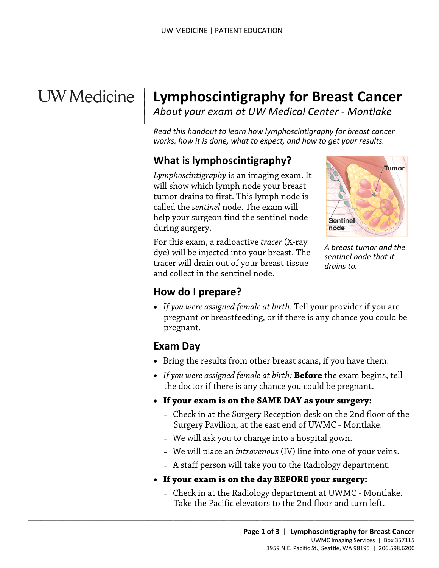# **UW** Medicine

|

# <sup>|</sup>**Lymphoscintigraphy for Breast Cancer** <sup>|</sup>*About your exam at UW Medical Center - Montlake* <sup>|</sup>

*Read this handout to learn how lymphoscintigraphy for breast cancer works, how it is done, what to expect, and how to get your results.* 

# **What is lymphoscintigraphy?**

 *Lymphoscintigraphy* is an imaging exam. It called the *sentinel* node. The exam will during surgery. will show which lymph node your breast tumor drains to first. This lymph node is help your surgeon find the sentinel node



*A breast tumor and the sentinel node that it drains to.* 

during surgery.<br>For this exam, a radioactive *tracer* (X-ray Example the sentinel node. The exam will<br>help your surgeon find the sentinel node<br>during surgery.<br>For this exam, a radioactive *tracer* (X-ray<br>dye) will be injected into your breast. The<br>tracer will drain out of your breas dye) will be injected into your breast. The tracer will drain out of your breast tissue and collect in the sentinel node.

#### **How do I prepare?**

• *If you were assigned female at birth:* Tell your provider if you are pregnant or breastfeeding, or if there is any chance you could be pregnant.

#### **Exam Day**

- Bring the results from other breast scans, if you have them.
- • *If you were assigned female at birth:* **Before** the exam begins, tell the doctor if there is any chance you could be pregnant.
- • **If your exam is on the SAME DAY as your surgery:** 
	- Check in at the Surgery Reception desk on the 2nd floor of the Surgery Pavilion, at the east end of UWMC - Montlake.
	- We will ask you to change into a hospital gown.
	- We will place an *intravenous* (IV) line into one of your veins.
	- A staff person will take you to the Radiology department.
- **If your exam is on the day BEFORE your surgery:**

 $\_$  ,  $\_$  ,  $\_$  ,  $\_$  ,  $\_$  ,  $\_$  ,  $\_$  ,  $\_$  ,  $\_$  ,  $\_$  ,  $\_$  ,  $\_$  ,  $\_$  ,  $\_$  ,  $\_$  ,  $\_$  ,  $\_$  ,  $\_$  ,  $\_$  ,  $\_$  ,  $\_$  ,  $\_$  ,  $\_$  ,  $\_$  ,  $\_$  ,  $\_$  ,  $\_$  ,  $\_$  ,  $\_$  ,  $\_$  ,  $\_$  ,  $\_$  ,  $\_$  ,  $\_$  ,  $\_$  ,  $\_$  ,  $\_$  ,

– Check in at the Radiology department at UWMC - Montlake. Take the Pacific elevators to the 2nd floor and turn left.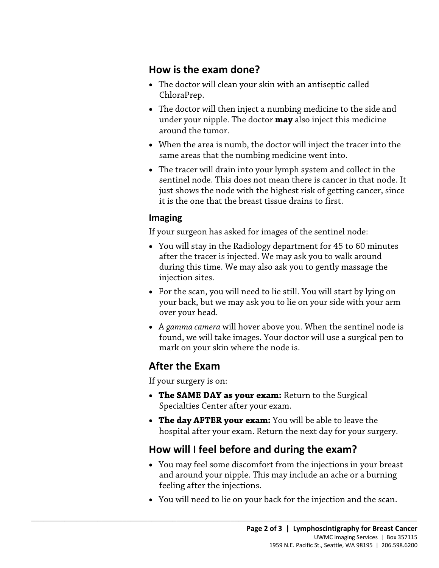### **How is the exam done?**

- ChloraPrep. • The doctor will clean your skin with an antiseptic called
- • The doctor will then inject a numbing medicine to the side and under your nipple. The doctor **may** also inject this medicine around the tumor.
- same areas that the numbing medicine went into. • When the area is numb, the doctor will inject the tracer into the
- The tracer will drain into your lymph system and collect in the sentinel node. This does not mean there is cancer in that node. It just shows the node with the highest risk of getting cancer, since it is the one that the breast tissue drains to first.

#### **Imaging**

If your surgeon has asked for images of the sentinel node:

- You will stay in the Radiology department for 45 to 60 minutes after the tracer is injected. We may ask you to walk around during this time. We may also ask you to gently massage the injection sites.
- your back, but we may ask you to lie on your side with your arm • For the scan, you will need to lie still. You will start by lying on over your head.
- • A *gamma camera* will hover above you. When the sentinel node is found, we will take images. Your doctor will use a surgical pen to mark on your skin where the node is.

## **After the Exam**

If your surgery is on:

- **The SAME DAY as your exam:** Return to the Surgical Specialties Center after your exam.
- **The day AFTER your exam:** You will be able to leave the hospital after your exam. Return the next day for your surgery.

# **How will I feel before and during the exam?**

 $\_$  ,  $\_$  ,  $\_$  ,  $\_$  ,  $\_$  ,  $\_$  ,  $\_$  ,  $\_$  ,  $\_$  ,  $\_$  ,  $\_$  ,  $\_$  ,  $\_$  ,  $\_$  ,  $\_$  ,  $\_$  ,  $\_$  ,  $\_$  ,  $\_$  ,  $\_$  ,  $\_$  ,  $\_$  ,  $\_$  ,  $\_$  ,  $\_$  ,  $\_$  ,  $\_$  ,  $\_$  ,  $\_$  ,  $\_$  ,  $\_$  ,  $\_$  ,  $\_$  ,  $\_$  ,  $\_$  ,  $\_$  ,  $\_$  ,

- and around your nipple. This may include an ache or a burning • You may feel some discomfort from the injections in your breast feeling after the injections.
- You will need to lie on your back for the injection and the scan.